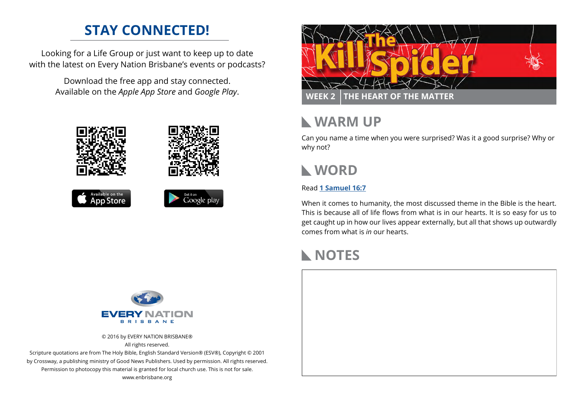# **STAY CONNECTED!**

Looking for a Life Group or just want to keep up to date with the latest on Every Nation Brisbane's events or podcasts?

> Download the free app and stay connected. Available on the *Apple App Store* and *Google Play*.





### **WARM UP**

Can you name a time when you were surprised? Was it a good surprise? Why or why not?

## **WORD**

### Read **[1 Samuel 16:7](https://www.biblegateway.com/passage/?search=1+Samuel+16%3A7&version=ESV)**

When it comes to humanity, the most discussed theme in the Bible is the heart. This is because all of life flows from what is in our hearts. It is so easy for us to get caught up in how our lives appear externally, but all that shows up outwardly comes from what is *in* our hearts.

## **NOTES**



© 2016 by EVERY NATION BRISBANE® All rights reserved.

Scripture quotations are from The Holy Bible, English Standard Version® (ESV®), Copyright © 2001 by Crossway, a publishing ministry of Good News Publishers. Used by permission. All rights reserved. Permission to photocopy this material is granted for local church use. This is not for sale. www.enbrisbane.org